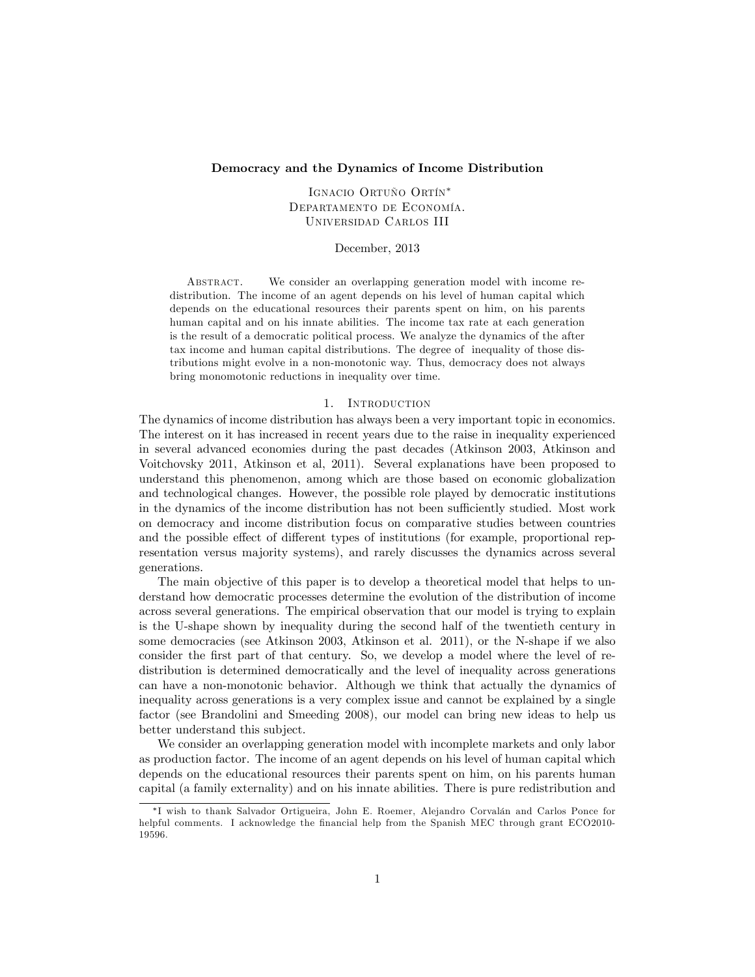## Democracy and the Dynamics of Income Distribution

IGNACIO ORTUÑO ORTÍN<sup>\*</sup> DEPARTAMENTO DE ECONOMÍA. Universidad Carlos III

December, 2013

Abstract. We consider an overlapping generation model with income redistribution. The income of an agent depends on his level of human capital which depends on the educational resources their parents spent on him, on his parents human capital and on his innate abilities. The income tax rate at each generation is the result of a democratic political process. We analyze the dynamics of the after tax income and human capital distributions. The degree of inequality of those distributions might evolve in a non-monotonic way. Thus, democracy does not always bring monomotonic reductions in inequality over time.

#### 1. Introduction

The dynamics of income distribution has always been a very important topic in economics. The interest on it has increased in recent years due to the raise in inequality experienced in several advanced economies during the past decades (Atkinson 2003, Atkinson and Voitchovsky 2011, Atkinson et al, 2011). Several explanations have been proposed to understand this phenomenon, among which are those based on economic globalization and technological changes. However, the possible role played by democratic institutions in the dynamics of the income distribution has not been sufficiently studied. Most work on democracy and income distribution focus on comparative studies between countries and the possible effect of different types of institutions (for example, proportional representation versus majority systems), and rarely discusses the dynamics across several generations.

The main objective of this paper is to develop a theoretical model that helps to understand how democratic processes determine the evolution of the distribution of income across several generations. The empirical observation that our model is trying to explain is the U-shape shown by inequality during the second half of the twentieth century in some democracies (see Atkinson 2003, Atkinson et al. 2011), or the N-shape if we also consider the first part of that century. So, we develop a model where the level of redistribution is determined democratically and the level of inequality across generations can have a non-monotonic behavior. Although we think that actually the dynamics of inequality across generations is a very complex issue and cannot be explained by a single factor (see Brandolini and Smeeding 2008), our model can bring new ideas to help us better understand this subject.

We consider an overlapping generation model with incomplete markets and only labor as production factor. The income of an agent depends on his level of human capital which depends on the educational resources their parents spent on him, on his parents human capital (a family externality) and on his innate abilities. There is pure redistribution and

<sup>\*</sup>I wish to thank Salvador Ortigueira, John E. Roemer, Alejandro Corvalán and Carlos Ponce for helpful comments. I acknowledge the financial help from the Spanish MEC through grant ECO2010-19596.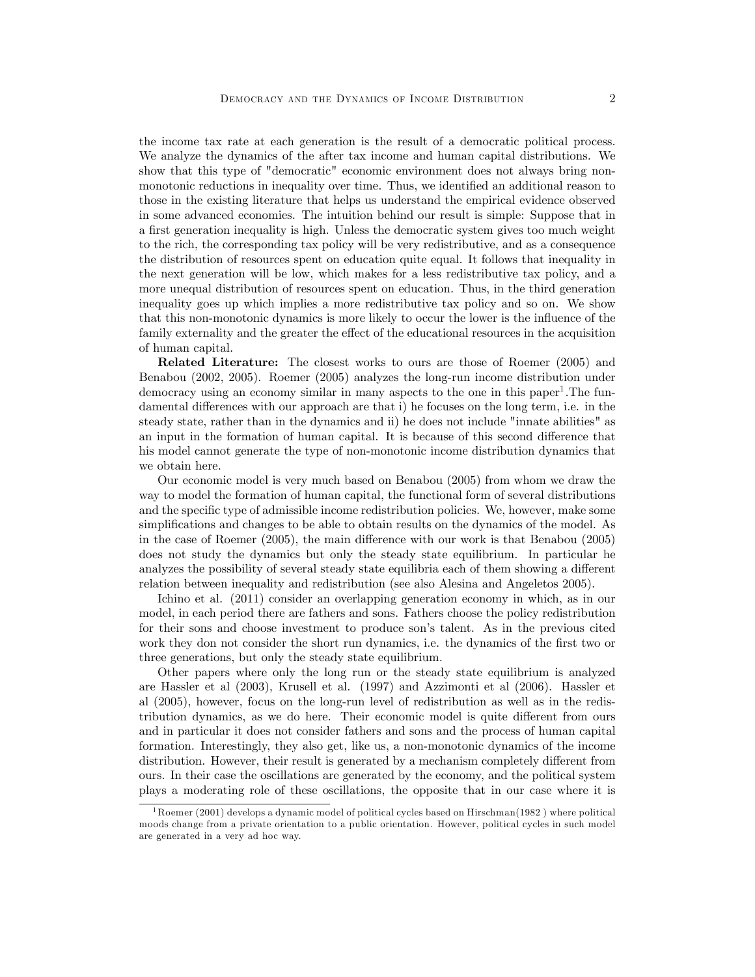the income tax rate at each generation is the result of a democratic political process. We analyze the dynamics of the after tax income and human capital distributions. We show that this type of "democratic" economic environment does not always bring nonmonotonic reductions in inequality over time. Thus, we identified an additional reason to those in the existing literature that helps us understand the empirical evidence observed in some advanced economies. The intuition behind our result is simple: Suppose that in a first generation inequality is high. Unless the democratic system gives too much weight to the rich, the corresponding tax policy will be very redistributive, and as a consequence the distribution of resources spent on education quite equal. It follows that inequality in the next generation will be low, which makes for a less redistributive tax policy, and a more unequal distribution of resources spent on education. Thus, in the third generation inequality goes up which implies a more redistributive tax policy and so on. We show that this non-monotonic dynamics is more likely to occur the lower is the influence of the family externality and the greater the effect of the educational resources in the acquisition of human capital.

Related Literature: The closest works to ours are those of Roemer (2005) and Benabou (2002, 2005). Roemer (2005) analyzes the long-run income distribution under democracy using an economy similar in many aspects to the one in this paper<sup>1</sup>. The fundamental differences with our approach are that i) he focuses on the long term, i.e. in the steady state, rather than in the dynamics and ii) he does not include "innate abilities" as an input in the formation of human capital. It is because of this second difference that his model cannot generate the type of non-monotonic income distribution dynamics that we obtain here.

Our economic model is very much based on Benabou (2005) from whom we draw the way to model the formation of human capital, the functional form of several distributions and the specific type of admissible income redistribution policies. We, however, make some simplifications and changes to be able to obtain results on the dynamics of the model. As in the case of Roemer  $(2005)$ , the main difference with our work is that Benabou  $(2005)$ does not study the dynamics but only the steady state equilibrium. In particular he analyzes the possibility of several steady state equilibria each of them showing a different relation between inequality and redistribution (see also Alesina and Angeletos 2005).

Ichino et al. (2011) consider an overlapping generation economy in which, as in our model, in each period there are fathers and sons. Fathers choose the policy redistribution for their sons and choose investment to produce son's talent. As in the previous cited work they don not consider the short run dynamics, i.e. the dynamics of the first two or three generations, but only the steady state equilibrium.

Other papers where only the long run or the steady state equilibrium is analyzed are Hassler et al (2003), Krusell et al. (1997) and Azzimonti et al (2006). Hassler et al (2005), however, focus on the long-run level of redistribution as well as in the redistribution dynamics, as we do here. Their economic model is quite different from ours and in particular it does not consider fathers and sons and the process of human capital formation. Interestingly, they also get, like us, a non-monotonic dynamics of the income distribution. However, their result is generated by a mechanism completely different from ours. In their case the oscillations are generated by the economy, and the political system plays a moderating role of these oscillations, the opposite that in our case where it is

<sup>&</sup>lt;sup>1</sup>Roemer (2001) develops a dynamic model of political cycles based on Hirschman(1982) where political moods change from a private orientation to a public orientation. However, political cycles in such model are generated in a very ad hoc way.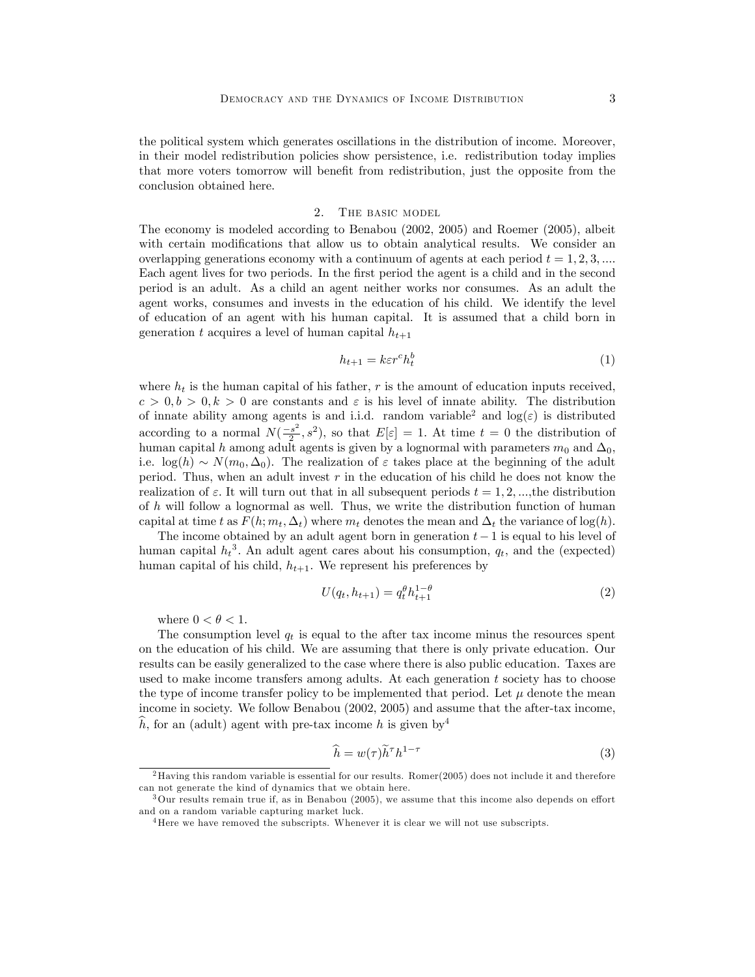the political system which generates oscillations in the distribution of income. Moreover, in their model redistribution policies show persistence, i.e. redistribution today implies that more voters tomorrow will benefit from redistribution, just the opposite from the conclusion obtained here.

### 2. The basic model

The economy is modeled according to Benabou (2002, 2005) and Roemer (2005), albeit with certain modifications that allow us to obtain analytical results. We consider an overlapping generations economy with a continuum of agents at each period  $t = 1, 2, 3, ...$ Each agent lives for two periods. In the first period the agent is a child and in the second period is an adult. As a child an agent neither works nor consumes. As an adult the agent works, consumes and invests in the education of his child. We identify the level of education of an agent with his human capital. It is assumed that a child born in generation t acquires a level of human capital  $h_{t+1}$ 

$$
h_{t+1} = k \varepsilon r^c h_t^b \tag{1}
$$

where  $h_t$  is the human capital of his father, r is the amount of education inputs received,  $c > 0, b > 0, k > 0$  are constants and  $\varepsilon$  is his level of innate ability. The distribution of innate ability among agents is and i.i.d. random variable<sup>2</sup> and  $log(\varepsilon)$  is distributed according to a normal  $N(\frac{-s^2}{2})$  $(\frac{s^2}{2}, s^2)$ , so that  $E[\varepsilon] = 1$ . At time  $t = 0$  the distribution of human capital h among adult agents is given by a lognormal with parameters  $m_0$  and  $\Delta_0$ , i.e.  $\log(h) \sim N(m_0, \Delta_0)$ . The realization of  $\varepsilon$  takes place at the beginning of the adult period. Thus, when an adult invest  $r$  in the education of his child he does not know the realization of  $\varepsilon$ . It will turn out that in all subsequent periods  $t = 1, 2, \dots$ , the distribution of h will follow a lognormal as well. Thus, we write the distribution function of human capital at time t as  $F(h; m_t, \Delta_t)$  where  $m_t$  denotes the mean and  $\Delta_t$  the variance of log(h).

The income obtained by an adult agent born in generation  $t-1$  is equal to his level of human capital  $h_t^3$ . An adult agent cares about his consumption,  $q_t$ , and the (expected) human capital of his child,  $h_{t+1}$ . We represent his preferences by

$$
U(q_t, h_{t+1}) = q_t^{\theta} h_{t+1}^{1-\theta}
$$
\n(2)

where  $0 < \theta < 1$ .

The consumption level  $q_t$  is equal to the after tax income minus the resources spent on the education of his child. We are assuming that there is only private education. Our results can be easily generalized to the case where there is also public education. Taxes are used to make income transfers among adults. At each generation  $t$  society has to choose the type of income transfer policy to be implemented that period. Let  $\mu$  denote the mean income in society. We follow Benabou (2002, 2005) and assume that the after-tax income, h, for an (adult) agent with pre-tax income h is given by  $4$ 

$$
\widehat{h} = w(\tau)\widetilde{h}^{\tau}h^{1-\tau}
$$
\n(3)

<sup>&</sup>lt;sup>2</sup>Having this random variable is essential for our results. Romer $(2005)$  does not include it and therefore can not generate the kind of dynamics that we obtain here.

 $3$ Our results remain true if, as in Benabou (2005), we assume that this income also depends on effort and on a random variable capturing market luck.

<sup>4</sup>Here we have removed the subscripts. Whenever it is clear we will not use subscripts.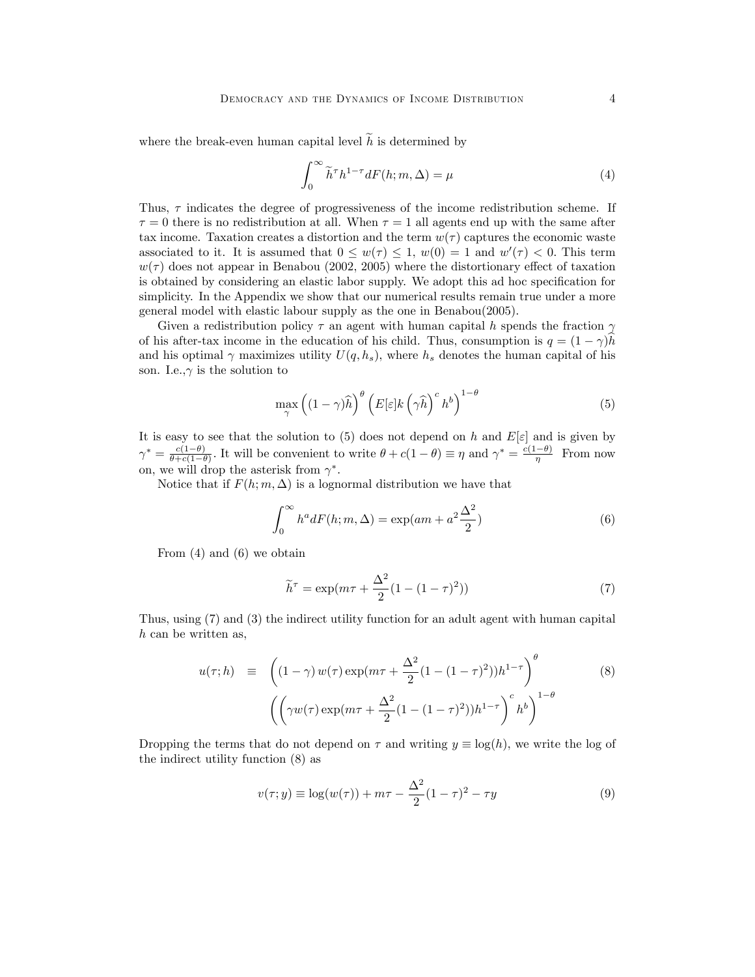where the break-even human capital level  $\tilde{h}$  is determined by

$$
\int_0^\infty \tilde{h}^\tau h^{1-\tau} dF(h; m, \Delta) = \mu \tag{4}
$$

Thus,  $\tau$  indicates the degree of progressiveness of the income redistribution scheme. If  $\tau = 0$  there is no redistribution at all. When  $\tau = 1$  all agents end up with the same after tax income. Taxation creates a distortion and the term  $w(\tau)$  captures the economic waste associated to it. It is assumed that  $0 \leq w(\tau) \leq 1$ ,  $w(0) = 1$  and  $w'(\tau) < 0$ . This term  $w(\tau)$  does not appear in Benabou (2002, 2005) where the distortionary effect of taxation is obtained by considering an elastic labor supply. We adopt this ad hoc specification for simplicity. In the Appendix we show that our numerical results remain true under a more general model with elastic labour supply as the one in Benabou(2005).

Given a redistribution policy  $\tau$  an agent with human capital h spends the fraction  $\gamma$ of his after-tax income in the education of his child. Thus, consumption is  $q = (1 - \gamma)h$ and his optimal  $\gamma$  maximizes utility  $U(q, h_s)$ , where  $h_s$  denotes the human capital of his son. I.e., $\gamma$  is the solution to

$$
\max_{\gamma} \left( (1 - \gamma)\widehat{h} \right)^{\theta} \left( E[\varepsilon]k \left( \gamma \widehat{h} \right)^{c} h^{b} \right)^{1 - \theta} \tag{5}
$$

It is easy to see that the solution to (5) does not depend on h and  $E[\varepsilon]$  and is given by  $\gamma^* = \frac{c(1-\theta)}{\theta + c(1-\theta)}$  $\frac{c(1-\theta)}{\theta+c(1-\theta)}$ . It will be convenient to write  $\theta + c(1-\theta) \equiv \eta$  and  $\gamma^* = \frac{c(1-\theta)}{\eta}$  From now on, we will drop the asterisk from  $\gamma^*$ .

Notice that if  $F(h; m, \Delta)$  is a lognormal distribution we have that

$$
\int_0^\infty h^a dF(h; m, \Delta) = \exp(am + a^2 \frac{\Delta^2}{2})
$$
\n(6)

From (4) and (6) we obtain

$$
\widetilde{h}^{\tau} = \exp(m\tau + \frac{\Delta^2}{2}(1 - (1 - \tau)^2))\tag{7}
$$

Thus, using (7) and (3) the indirect utility function for an adult agent with human capital h can be written as,

$$
u(\tau; h) = \left( (1 - \gamma) w(\tau) \exp(m\tau + \frac{\Delta^2}{2} (1 - (1 - \tau)^2)) h^{1 - \tau} \right)^{\theta}
$$
(8)  

$$
\left( \left( \gamma w(\tau) \exp(m\tau + \frac{\Delta^2}{2} (1 - (1 - \tau)^2)) h^{1 - \tau} \right)^{c} h^{b} \right)^{1 - \theta}
$$

Dropping the terms that do not depend on  $\tau$  and writing  $y \equiv \log(h)$ , we write the log of the indirect utility function (8) as

$$
v(\tau; y) \equiv \log(w(\tau)) + m\tau - \frac{\Delta^2}{2}(1-\tau)^2 - \tau y \tag{9}
$$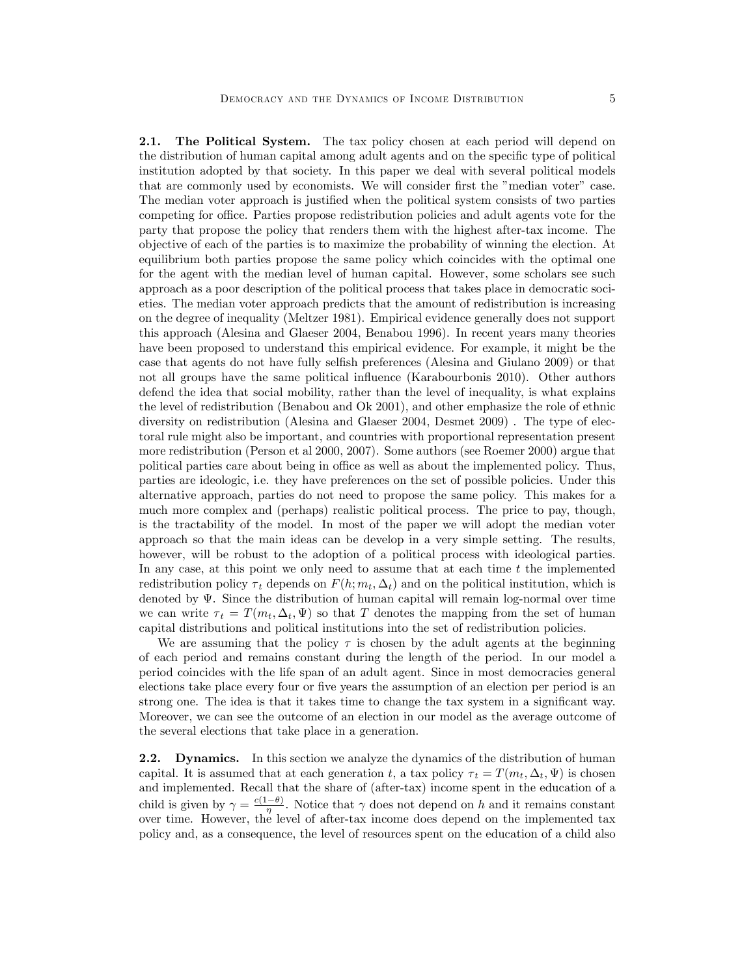2.1. The Political System. The tax policy chosen at each period will depend on the distribution of human capital among adult agents and on the specific type of political institution adopted by that society. In this paper we deal with several political models that are commonly used by economists. We will consider first the "median voter" case. The median voter approach is justified when the political system consists of two parties competing for office. Parties propose redistribution policies and adult agents vote for the party that propose the policy that renders them with the highest after-tax income. The objective of each of the parties is to maximize the probability of winning the election. At equilibrium both parties propose the same policy which coincides with the optimal one for the agent with the median level of human capital. However, some scholars see such approach as a poor description of the political process that takes place in democratic societies. The median voter approach predicts that the amount of redistribution is increasing on the degree of inequality (Meltzer 1981). Empirical evidence generally does not support this approach (Alesina and Glaeser 2004, Benabou 1996). In recent years many theories have been proposed to understand this empirical evidence. For example, it might be the case that agents do not have fully selfish preferences (Alesina and Giulano 2009) or that not all groups have the same political influence (Karabourbonis 2010). Other authors defend the idea that social mobility, rather than the level of inequality, is what explains the level of redistribution (Benabou and Ok 2001), and other emphasize the role of ethnic diversity on redistribution (Alesina and Glaeser 2004, Desmet 2009) . The type of electoral rule might also be important, and countries with proportional representation present more redistribution (Person et al 2000, 2007). Some authors (see Roemer 2000) argue that political parties care about being in office as well as about the implemented policy. Thus, parties are ideologic, i.e. they have preferences on the set of possible policies. Under this alternative approach, parties do not need to propose the same policy. This makes for a much more complex and (perhaps) realistic political process. The price to pay, though, is the tractability of the model. In most of the paper we will adopt the median voter approach so that the main ideas can be develop in a very simple setting. The results, however, will be robust to the adoption of a political process with ideological parties. In any case, at this point we only need to assume that at each time  $t$  the implemented redistribution policy  $\tau_t$  depends on  $F(h; m_t, \Delta_t)$  and on the political institution, which is denoted by  $\Psi$ . Since the distribution of human capital will remain log-normal over time we can write  $\tau_t = T(m_t, \Delta_t, \Psi)$  so that T denotes the mapping from the set of human capital distributions and political institutions into the set of redistribution policies.

We are assuming that the policy  $\tau$  is chosen by the adult agents at the beginning of each period and remains constant during the length of the period. In our model a period coincides with the life span of an adult agent. Since in most democracies general elections take place every four or five years the assumption of an election per period is an strong one. The idea is that it takes time to change the tax system in a significant way. Moreover, we can see the outcome of an election in our model as the average outcome of the several elections that take place in a generation.

2.2. Dynamics. In this section we analyze the dynamics of the distribution of human capital. It is assumed that at each generation t, a tax policy  $\tau_t = T(m_t, \Delta_t, \Psi)$  is chosen and implemented. Recall that the share of (after-tax) income spent in the education of a child is given by  $\gamma = \frac{c(1-\theta)}{\eta}$ . Notice that  $\gamma$  does not depend on h and it remains constant over time. However, the level of after-tax income does depend on the implemented tax policy and, as a consequence, the level of resources spent on the education of a child also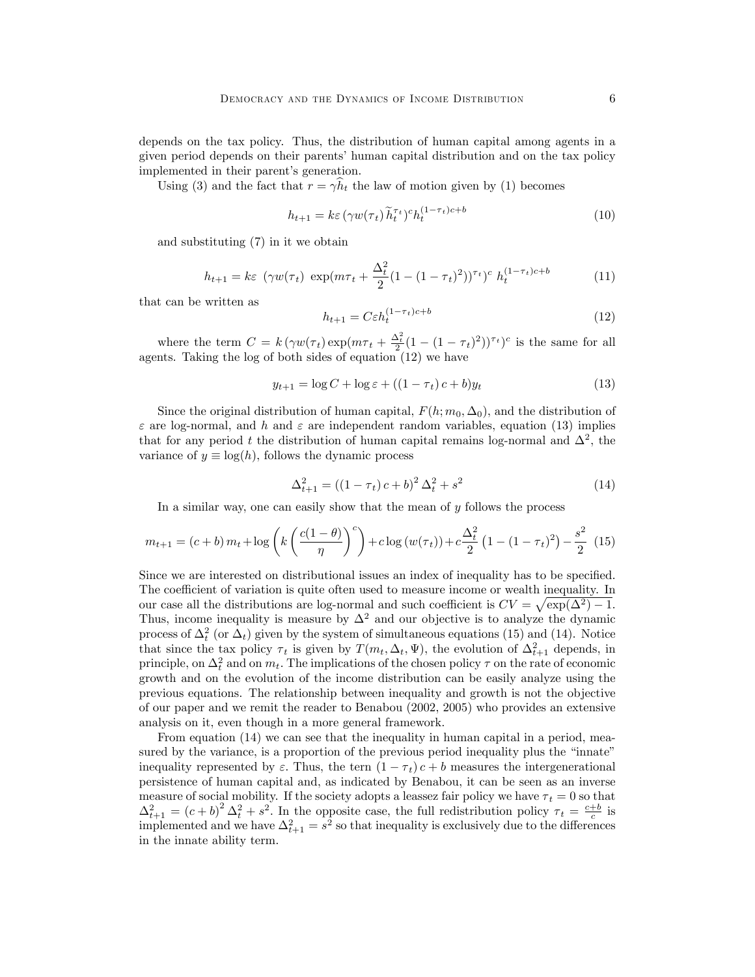depends on the tax policy. Thus, the distribution of human capital among agents in a given period depends on their parents' human capital distribution and on the tax policy implemented in their parent's generation.

Using (3) and the fact that  $r = \gamma h_t$  the law of motion given by (1) becomes

$$
h_{t+1} = k\varepsilon \left(\gamma w(\tau_t)\widetilde{h}_t^{\tau_t}\right)^c h_t^{(1-\tau_t)c+b} \tag{10}
$$

and substituting (7) in it we obtain

$$
h_{t+1} = k\varepsilon \ (\gamma w(\tau_t) \ \exp(m\tau_t + \frac{\Delta_t^2}{2} (1 - (1 - \tau_t)^2))^{\tau_t})^c \ h_t^{(1 - \tau_t)c + b}
$$
 (11)

that can be written as

$$
h_{t+1} = C\varepsilon h_t^{(1-\tau_t)c+b} \tag{12}
$$

where the term  $C = k (\gamma w(\tau_t) \exp(m\tau_t + \frac{\Delta_t^2}{2}(1 - (1 - \tau_t)^2))^{\tau_t})^c$  is the same for all agents. Taking the log of both sides of equation (12) we have

$$
y_{t+1} = \log C + \log \varepsilon + ((1 - \tau_t)c + b)y_t \tag{13}
$$

Since the original distribution of human capital,  $F(h; m_0, \Delta_0)$ , and the distribution of  $\varepsilon$  are log-normal, and h and  $\varepsilon$  are independent random variables, equation (13) implies that for any period t the distribution of human capital remains log-normal and  $\Delta^2$ , the variance of  $y \equiv \log(h)$ , follows the dynamic process

$$
\Delta_{t+1}^{2} = ((1 - \tau_t) c + b)^2 \Delta_t^2 + s^2 \tag{14}
$$

In a similar way, one can easily show that the mean of  $y$  follows the process

$$
m_{t+1} = (c+b)m_t + \log\left(k\left(\frac{c(1-\theta)}{\eta}\right)^c\right) + c\log(w(\tau_t)) + c\frac{\Delta_t^2}{2}\left(1 - (1-\tau_t)^2\right) - \frac{s^2}{2} (15)
$$

Since we are interested on distributional issues an index of inequality has to be specified. The coefficient of variation is quite often used to measure income or wealth inequality. In our case all the distributions are log-normal and such coefficient is  $CV = \sqrt{\exp(\Delta^2) - 1}$ . Thus, income inequality is measure by  $\Delta^2$  and our objective is to analyze the dynamic process of  $\Delta_t^2$  (or  $\Delta_t$ ) given by the system of simultaneous equations (15) and (14). Notice that since the tax policy  $\tau_t$  is given by  $T(m_t, \Delta_t, \Psi)$ , the evolution of  $\Delta_{t+1}^2$  depends, in principle, on  $\Delta_t^2$  and on  $m_t$ . The implications of the chosen policy  $\tau$  on the rate of economic growth and on the evolution of the income distribution can be easily analyze using the previous equations. The relationship between inequality and growth is not the objective of our paper and we remit the reader to Benabou (2002, 2005) who provides an extensive analysis on it, even though in a more general framework.

From equation  $(14)$  we can see that the inequality in human capital in a period, measured by the variance, is a proportion of the previous period inequality plus the "innate" inequality represented by  $\varepsilon$ . Thus, the tern  $(1 - \tau_t) c + b$  measures the intergenerational persistence of human capital and, as indicated by Benabou, it can be seen as an inverse measure of social mobility. If the society adopts a leassez fair policy we have  $\tau_t = 0$  so that  $\Delta_{t+1}^2 = (c+b)^2 \Delta_t^2 + s^2$ . In the opposite case, the full redistribution policy  $\tau_t = \frac{c+b}{c}$  is implemented and we have  $\Delta_{t+1}^2 = s^2$  so that inequality is exclusively due to the differences in the innate ability term.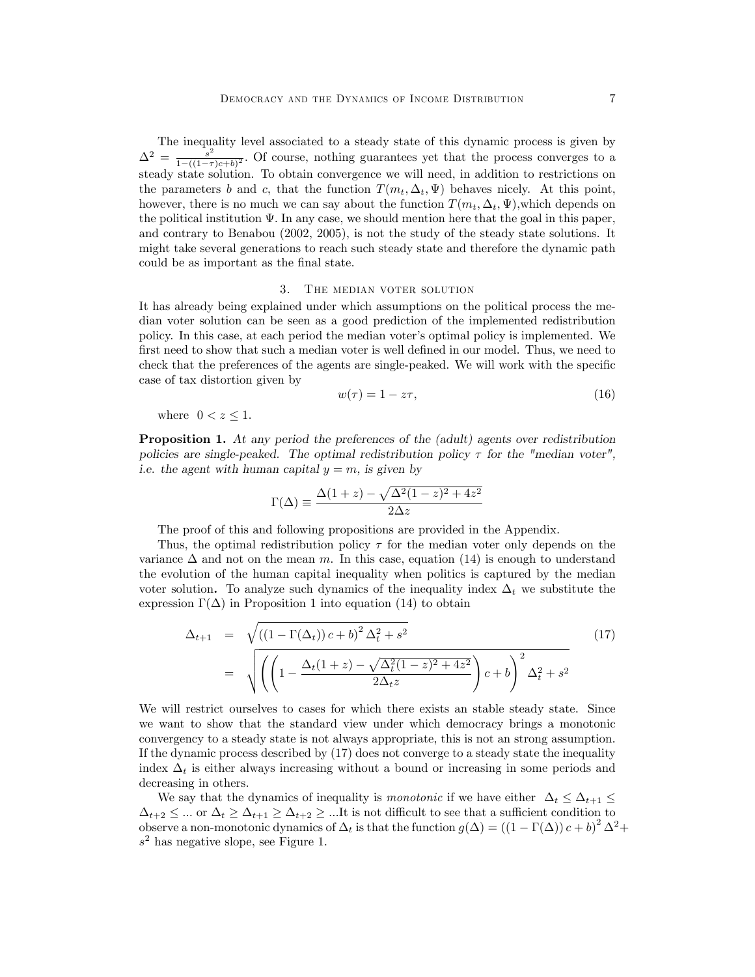The inequality level associated to a steady state of this dynamic process is given by  $\Delta^2 = \frac{s^2}{1-(1-\tau)}$  $\frac{s^2}{1-(1-\tau)c+b)^2}$ . Of course, nothing guarantees yet that the process converges to a steady state solution. To obtain convergence we will need, in addition to restrictions on the parameters b and c, that the function  $T(m_t, \Delta_t, \Psi)$  behaves nicely. At this point, however, there is no much we can say about the function  $T(m_t, \Delta_t, \Psi)$ , which depends on the political institution  $\Psi$ . In any case, we should mention here that the goal in this paper, and contrary to Benabou (2002, 2005), is not the study of the steady state solutions. It might take several generations to reach such steady state and therefore the dynamic path could be as important as the final state.

## 3. The median voter solution

It has already being explained under which assumptions on the political process the median voter solution can be seen as a good prediction of the implemented redistribution policy. In this case, at each period the median voter's optimal policy is implemented. We first need to show that such a median voter is well defined in our model. Thus, we need to check that the preferences of the agents are single-peaked. We will work with the specific case of tax distortion given by

$$
w(\tau) = 1 - z\tau,\tag{16}
$$

where  $0 < z < 1$ .

Proposition 1. At any period the preferences of the (adult) agents over redistribution policies are single-peaked. The optimal redistribution policy  $\tau$  for the "median voter", i.e. the agent with human capital  $y = m$ , is given by

$$
\Gamma(\Delta) \equiv \frac{\Delta(1+z) - \sqrt{\Delta^2(1-z)^2 + 4z^2}}{2\Delta z}
$$

The proof of this and following propositions are provided in the Appendix.

Thus, the optimal redistribution policy  $\tau$  for the median voter only depends on the variance  $\Delta$  and not on the mean m. In this case, equation (14) is enough to understand the evolution of the human capital inequality when politics is captured by the median voter solution. To analyze such dynamics of the inequality index  $\Delta_t$  we substitute the expression  $\Gamma(\Delta)$  in Proposition 1 into equation (14) to obtain

$$
\Delta_{t+1} = \sqrt{((1 - \Gamma(\Delta_t)) c + b)^2 \Delta_t^2 + s^2}
$$
\n
$$
= \sqrt{\left(\left(1 - \frac{\Delta_t (1+z) - \sqrt{\Delta_t^2 (1-z)^2 + 4z^2}}{2\Delta_t z}\right) c + b\right)^2 \Delta_t^2 + s^2}
$$
\n(17)

We will restrict ourselves to cases for which there exists an stable steady state. Since we want to show that the standard view under which democracy brings a monotonic convergency to a steady state is not always appropriate, this is not an strong assumption. If the dynamic process described by (17) does not converge to a steady state the inequality index  $\Delta_t$  is either always increasing without a bound or increasing in some periods and decreasing in others.

We say that the dynamics of inequality is monotonic if we have either  $\Delta_t \leq \Delta_{t+1} \leq$  $\Delta_{t+2} \leq \dots$  or  $\Delta_t \geq \Delta_{t+1} \geq \Delta_{t+2} \geq \dots$  It is not difficult to see that a sufficient condition to observe a non-monotonic dynamics of  $\Delta_t$  is that the function  $g(\Delta) = ((1 - \Gamma(\Delta)) c + b)^2 \Delta^2 +$  $s<sup>2</sup>$  has negative slope, see Figure 1.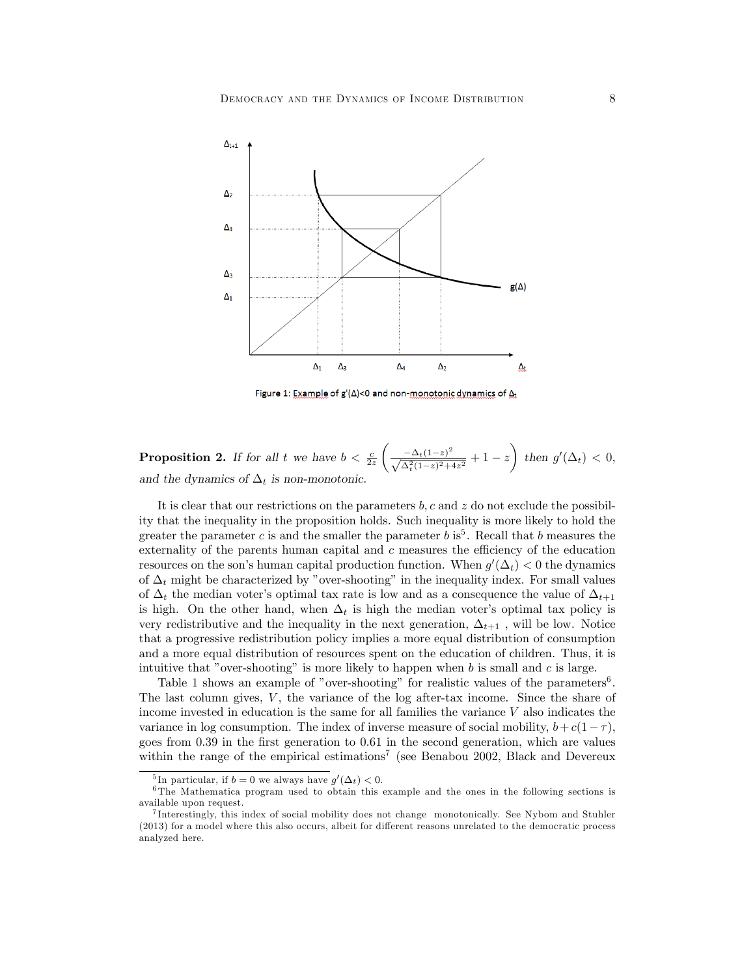

Figure 1: Example of  $g'(\Delta)$ <0 and non-monotonic dynamics of  $\Delta_t$ 

**Proposition 2.** If for all t we have  $b < \frac{c}{2z}$  $\left(\frac{-\Delta_t(1-z)^2}{\sqrt{\Delta_t^2(1-z)^2+4z^2}}+1-z\right)$  $\overline{ }$ then  $g'(\Delta_t) < 0$ , and the dynamics of  $\Delta_t$  is non-monotonic.

It is clear that our restrictions on the parameters  $b, c$  and  $z$  do not exclude the possibility that the inequality in the proposition holds. Such inequality is more likely to hold the greater the parameter c is and the smaller the parameter  $b$  is<sup>5</sup>. Recall that b measures the externality of the parents human capital and  $c$  measures the efficiency of the education resources on the son's human capital production function. When  $g'(\Delta_t) < 0$  the dynamics of  $\Delta_t$  might be characterized by "over-shooting" in the inequality index. For small values of  $\Delta_t$  the median voter's optimal tax rate is low and as a consequence the value of  $\Delta_{t+1}$ is high. On the other hand, when  $\Delta_t$  is high the median voter's optimal tax policy is very redistributive and the inequality in the next generation,  $\Delta_{t+1}$ , will be low. Notice that a progressive redistribution policy implies a more equal distribution of consumption and a more equal distribution of resources spent on the education of children. Thus, it is intuitive that "over-shooting" is more likely to happen when  $b$  is small and  $c$  is large.

Table 1 shows an example of "over-shooting" for realistic values of the parameters<sup>6</sup>. The last column gives,  $V$ , the variance of the log after-tax income. Since the share of income invested in education is the same for all families the variance  $V$  also indicates the variance in log consumption. The index of inverse measure of social mobility,  $b + c(1 - \tau)$ , goes from 0:39 in the Örst generation to 0:61 in the second generation, which are values within the range of the empirical estimations<sup>7</sup> (see Benabou 2002, Black and Devereux

<sup>&</sup>lt;sup>5</sup>In particular, if  $b = 0$  we always have  $g'(\Delta_t) < 0$ .

<sup>6</sup> The Mathematica program used to obtain this example and the ones in the following sections is available upon request.

<sup>7</sup> Interestingly, this index of social mobility does not change monotonically. See Nybom and Stuhler (2013) for a model where this also occurs, albeit for different reasons unrelated to the democratic process analyzed here.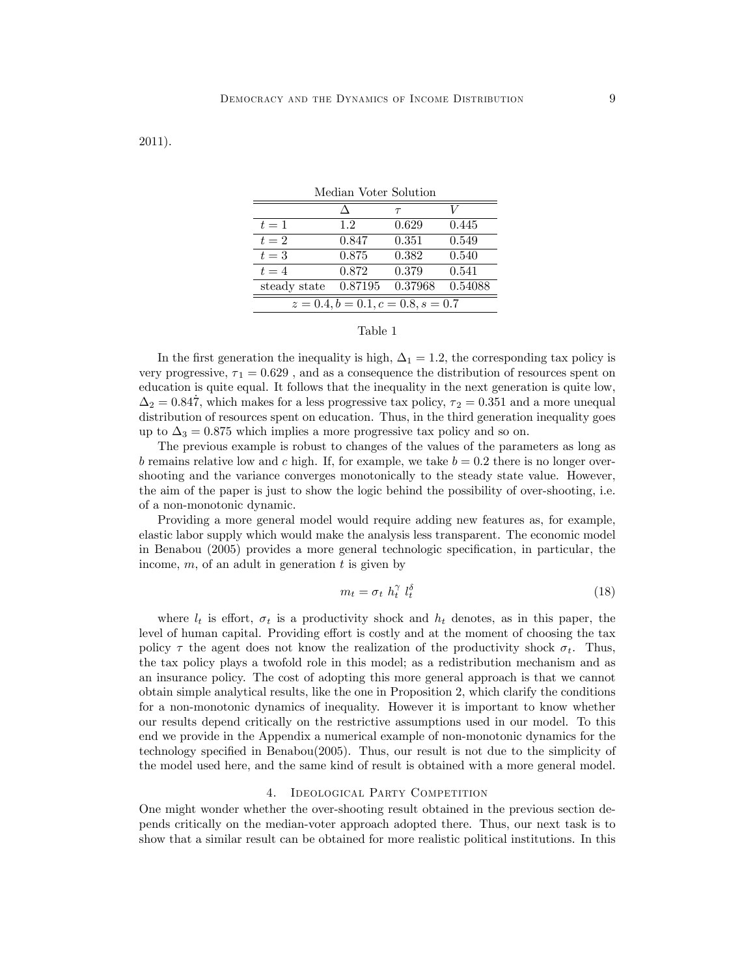2011).

| Median Voter Solution                |         |         |         |  |
|--------------------------------------|---------|---------|---------|--|
|                                      |         | $\tau$  | V       |  |
| $t=1$                                | 1.2.    | 0.629   | 0.445   |  |
| $t=2$                                | 0.847   | 0.351   | 0.549   |  |
| $t=3$                                | 0.875   | 0.382   | 0.540   |  |
| $t=4$                                | 0.872   | 0.379   | 0.541   |  |
| steady state                         | 0.87195 | 0.37968 | 0.54088 |  |
| $z = 0.4, b = 0.1, c = 0.8, s = 0.7$ |         |         |         |  |

## Table 1

In the first generation the inequality is high,  $\Delta_1 = 1.2$ , the corresponding tax policy is very progressive,  $\tau_1 = 0.629$ , and as a consequence the distribution of resources spent on education is quite equal. It follows that the inequality in the next generation is quite low,  $\Delta_2 = 0.847$ , which makes for a less progressive tax policy,  $\tau_2 = 0.351$  and a more unequal distribution of resources spent on education. Thus, in the third generation inequality goes up to  $\Delta_3 = 0.875$  which implies a more progressive tax policy and so on.

The previous example is robust to changes of the values of the parameters as long as b remains relative low and c high. If, for example, we take  $b = 0.2$  there is no longer overshooting and the variance converges monotonically to the steady state value. However, the aim of the paper is just to show the logic behind the possibility of over-shooting, i.e. of a non-monotonic dynamic.

Providing a more general model would require adding new features as, for example, elastic labor supply which would make the analysis less transparent. The economic model in Benabou  $(2005)$  provides a more general technologic specification, in particular, the income,  $m$ , of an adult in generation  $t$  is given by

$$
m_t = \sigma_t \ h_t^{\gamma} \ l_t^{\delta} \tag{18}
$$

where  $l_t$  is effort,  $\sigma_t$  is a productivity shock and  $h_t$  denotes, as in this paper, the level of human capital. Providing effort is costly and at the moment of choosing the tax policy  $\tau$  the agent does not know the realization of the productivity shock  $\sigma_t$ . Thus, the tax policy plays a twofold role in this model; as a redistribution mechanism and as an insurance policy. The cost of adopting this more general approach is that we cannot obtain simple analytical results, like the one in Proposition 2, which clarify the conditions for a non-monotonic dynamics of inequality. However it is important to know whether our results depend critically on the restrictive assumptions used in our model. To this end we provide in the Appendix a numerical example of non-monotonic dynamics for the technology specified in Benabou $(2005)$ . Thus, our result is not due to the simplicity of the model used here, and the same kind of result is obtained with a more general model.

# 4. IDEOLOGICAL PARTY COMPETITION

One might wonder whether the over-shooting result obtained in the previous section depends critically on the median-voter approach adopted there. Thus, our next task is to show that a similar result can be obtained for more realistic political institutions. In this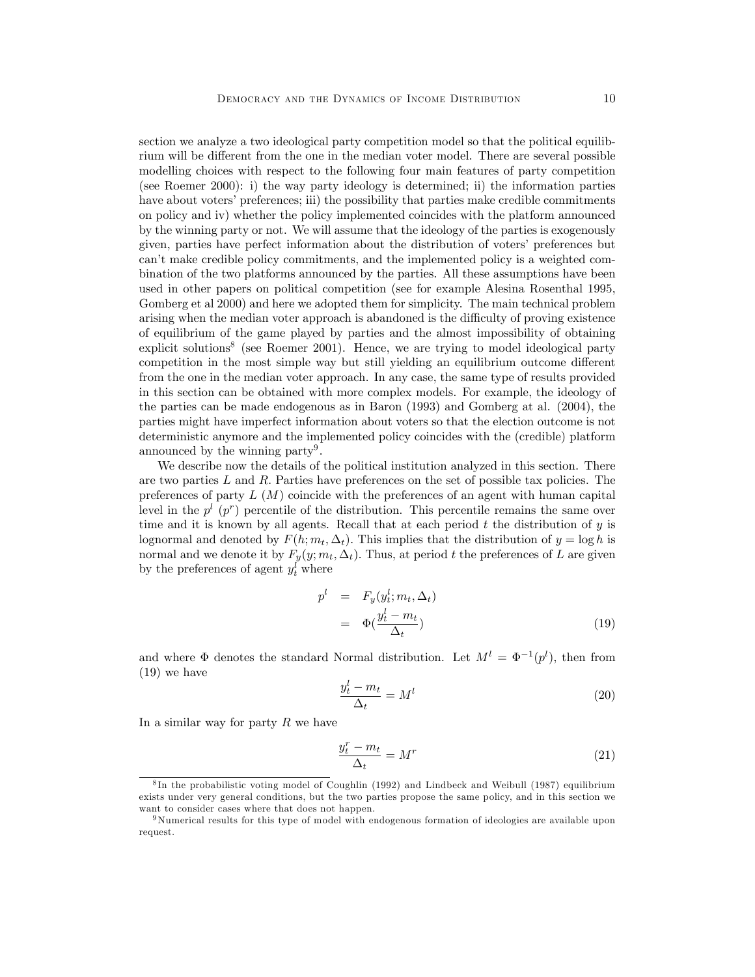section we analyze a two ideological party competition model so that the political equilibrium will be different from the one in the median voter model. There are several possible modelling choices with respect to the following four main features of party competition (see Roemer 2000): i) the way party ideology is determined; ii) the information parties have about voters' preferences; iii) the possibility that parties make credible commitments on policy and iv) whether the policy implemented coincides with the platform announced by the winning party or not. We will assume that the ideology of the parties is exogenously given, parties have perfect information about the distribution of voters' preferences but can't make credible policy commitments, and the implemented policy is a weighted combination of the two platforms announced by the parties. All these assumptions have been used in other papers on political competition (see for example Alesina Rosenthal 1995, Gomberg et al 2000) and here we adopted them for simplicity. The main technical problem arising when the median voter approach is abandoned is the difficulty of proving existence of equilibrium of the game played by parties and the almost impossibility of obtaining explicit solutions<sup>8</sup> (see Roemer 2001). Hence, we are trying to model ideological party competition in the most simple way but still yielding an equilibrium outcome different from the one in the median voter approach. In any case, the same type of results provided in this section can be obtained with more complex models. For example, the ideology of the parties can be made endogenous as in Baron (1993) and Gomberg at al. (2004), the parties might have imperfect information about voters so that the election outcome is not deterministic anymore and the implemented policy coincides with the (credible) platform announced by the winning party<sup>9</sup>.

We describe now the details of the political institution analyzed in this section. There are two parties  $L$  and  $R$ . Parties have preferences on the set of possible tax policies. The preferences of party  $L(M)$  coincide with the preferences of an agent with human capital level in the  $p^{l}$  ( $p^{r}$ ) percentile of the distribution. This percentile remains the same over time and it is known by all agents. Recall that at each period  $t$  the distribution of  $y$  is lognormal and denoted by  $F(h; m_t, \Delta_t)$ . This implies that the distribution of  $y = \log h$  is normal and we denote it by  $F_y(y; m_t, \Delta_t)$ . Thus, at period t the preferences of L are given by the preferences of agent  $y_t^l$  where

$$
p^{l} = F_{y}(y_t^{l}; m_t, \Delta_t)
$$
  
=  $\Phi(\frac{y_t^{l} - m_t}{\Delta_t})$  (19)

and where  $\Phi$  denotes the standard Normal distribution. Let  $M^l = \Phi^{-1}(p^l)$ , then from (19) we have

$$
\frac{y_t^l - m_t}{\Delta_t} = M^l \tag{20}
$$

In a similar way for party  $R$  we have

$$
\frac{y_t^r - m_t}{\Delta_t} = M^r \tag{21}
$$

<sup>8</sup> In the probabilistic voting model of Coughlin (1992) and Lindbeck and Weibull (1987) equilibrium exists under very general conditions, but the two parties propose the same policy, and in this section we want to consider cases where that does not happen.

<sup>9</sup>Numerical results for this type of model with endogenous formation of ideologies are available upon request.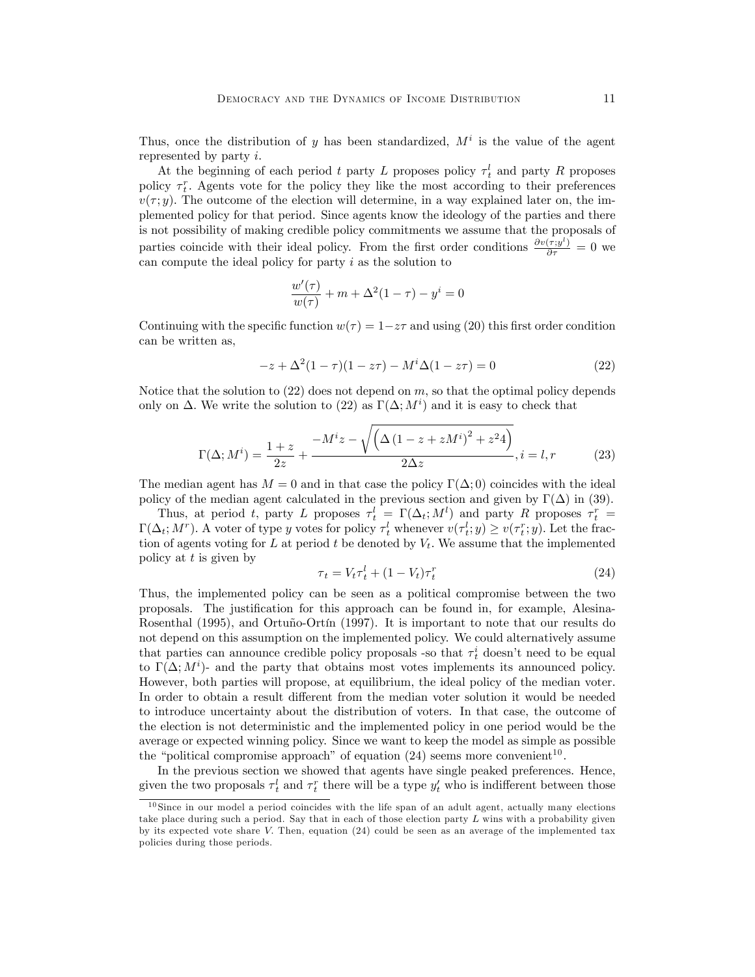Thus, once the distribution of y has been standardized,  $M<sup>i</sup>$  is the value of the agent represented by party i.

At the beginning of each period t party L proposes policy  $\tau_t^l$  and party R proposes policy  $\tau_t^r$ . Agents vote for the policy they like the most according to their preferences  $v(\tau; y)$ . The outcome of the election will determine, in a way explained later on, the implemented policy for that period. Since agents know the ideology of the parties and there is not possibility of making credible policy commitments we assume that the proposals of parties coincide with their ideal policy. From the first order conditions  $\frac{\partial v(\tau,y^l)}{\partial \tau} = 0$  we can compute the ideal policy for party  $i$  as the solution to

$$
\frac{w'(\tau)}{w(\tau)} + m + \Delta^2 (1 - \tau) - y^i = 0
$$

Continuing with the specific function  $w(\tau) = 1-z\tau$  and using (20) this first order condition can be written as,

$$
-z + \Delta^{2}(1 - \tau)(1 - z\tau) - M^{i}\Delta(1 - z\tau) = 0
$$
\n(22)

Notice that the solution to  $(22)$  does not depend on m, so that the optimal policy depends only on  $\Delta$ . We write the solution to (22) as  $\Gamma(\Delta; M^i)$  and it is easy to check that

$$
\Gamma(\Delta; M^{i}) = \frac{1+z}{2z} + \frac{-M^{i}z - \sqrt{\left(\Delta(1 - z + zM^{i})^{2} + z^{2}4\right)}}{2\Delta z}, i = l, r \tag{23}
$$

The median agent has  $M = 0$  and in that case the policy  $\Gamma(\Delta; 0)$  coincides with the ideal policy of the median agent calculated in the previous section and given by  $\Gamma(\Delta)$  in (39).

Thus, at period t, party L proposes  $\tau_t^l = \Gamma(\Delta_t; M^l)$  and party R proposes  $\tau_t^r =$  $\Gamma(\Delta_t; M^r)$ . A voter of type y votes for policy  $\tau_t^l$  whenever  $v(\tau_t^l; y) \ge v(\tau_t^r; y)$ . Let the fraction of agents voting for L at period t be denoted by  $V_t$ . We assume that the implemented policy at  $t$  is given by

$$
\tau_t = V_t \tau_t^l + (1 - V_t) \tau_t^r \tag{24}
$$

Thus, the implemented policy can be seen as a political compromise between the two proposals. The justiÖcation for this approach can be found in, for example, Alesina-Rosenthal (1995), and Ortuño-Ortín (1997). It is important to note that our results do not depend on this assumption on the implemented policy. We could alternatively assume that parties can announce credible policy proposals -so that  $\tau_t^i$  doesn't need to be equal to  $\Gamma(\Delta; M^i)$ - and the party that obtains most votes implements its announced policy. However, both parties will propose, at equilibrium, the ideal policy of the median voter. In order to obtain a result different from the median voter solution it would be needed to introduce uncertainty about the distribution of voters. In that case, the outcome of the election is not deterministic and the implemented policy in one period would be the average or expected winning policy. Since we want to keep the model as simple as possible the "political compromise approach" of equation  $(24)$  seems more convenient<sup>10</sup>.

In the previous section we showed that agents have single peaked preferences. Hence, given the two proposals  $\tau_t^l$  and  $\tau_t^r$  there will be a type  $y_t'$  who is indifferent between those

<sup>&</sup>lt;sup>10</sup> Since in our model a period coincides with the life span of an adult agent, actually many elections take place during such a period. Say that in each of those election party  $L$  wins with a probability given by its expected vote share V: Then, equation (24) could be seen as an average of the implemented tax policies during those periods.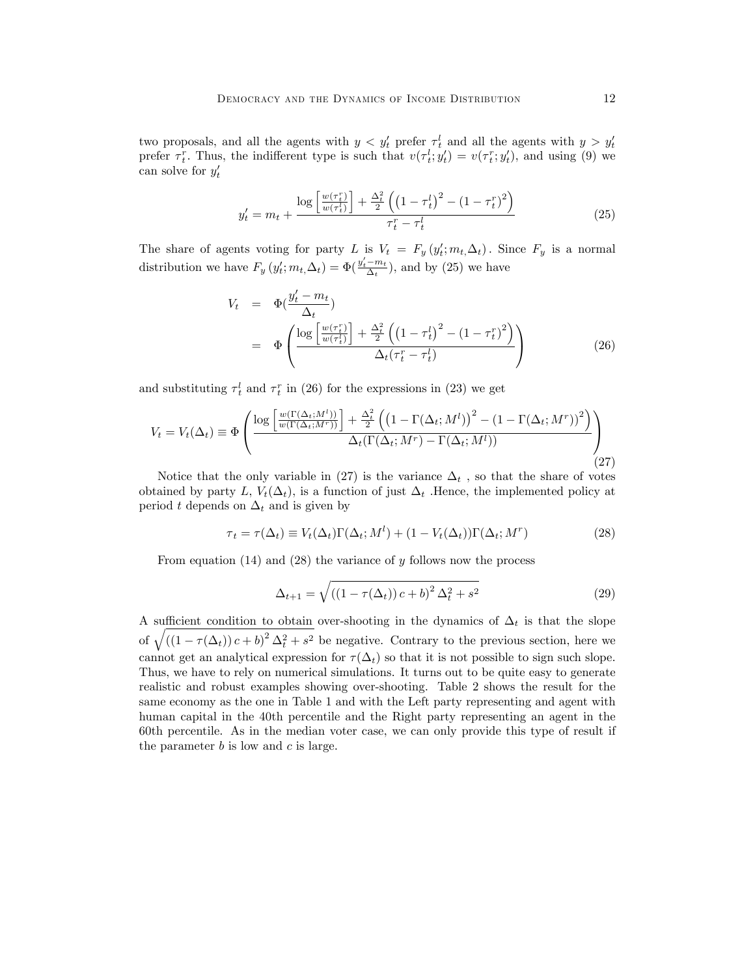two proposals, and all the agents with  $y < y'_t$  prefer  $\tau_t^l$  and all the agents with  $y > y'_t$ prefer  $\tau_t^r$ . Thus, the indifferent type is such that  $v(\tau_t^l; y_t') = v(\tau_t^r; y_t')$ , and using (9) we can solve for  $y_t'$ 

$$
y_t' = m_t + \frac{\log\left[\frac{w(\tau_t^r)}{w(\tau_t^l)}\right] + \frac{\Delta_t^2}{2}\left(\left(1 - \tau_t^l\right)^2 - \left(1 - \tau_t^r\right)^2\right)}{\tau_t^r - \tau_t^l}
$$
\n(25)

The share of agents voting for party L is  $V_t = F_y(y'_t; m_t, \Delta_t)$ . Since  $F_y$  is a normal distribution we have  $F_y(y'_t; m_t, \Delta_t) = \Phi(\frac{y'_t - m_t}{\Delta_t}),$  and by (25) we have

$$
V_t = \Phi(\frac{y'_t - m_t}{\Delta_t})
$$
  
= 
$$
\Phi\left(\frac{\log\left[\frac{w(\tau_t^r)}{w(\tau_t^t)}\right] + \frac{\Delta_t^2}{2}\left(\left(1 - \tau_t^l\right)^2 - \left(1 - \tau_t^r\right)^2\right)}{\Delta_t(\tau_t^r - \tau_t^l)}\right)
$$
(26)

and substituting  $\tau_t^l$  and  $\tau_t^r$  in (26) for the expressions in (23) we get

$$
V_t = V_t(\Delta_t) \equiv \Phi \left( \frac{\log \left[ \frac{w(\Gamma(\Delta_t;M^l))}{w(\Gamma(\Delta_t;M^r))} \right] + \frac{\Delta_t^2}{2} \left( \left( 1 - \Gamma(\Delta_t;M^l) \right)^2 - (1 - \Gamma(\Delta_t;M^r))^2 \right)}{\Delta_t(\Gamma(\Delta_t;M^r) - \Gamma(\Delta_t;M^l))} \right)
$$
(27)

Notice that the only variable in (27) is the variance  $\Delta_t$ , so that the share of votes obtained by party L,  $V_t(\Delta_t)$ , is a function of just  $\Delta_t$ . Hence, the implemented policy at period t depends on  $\Delta_t$  and is given by

$$
\tau_t = \tau(\Delta_t) \equiv V_t(\Delta_t)\Gamma(\Delta_t; M^l) + (1 - V_t(\Delta_t))\Gamma(\Delta_t; M^r)
$$
\n(28)

From equation  $(14)$  and  $(28)$  the variance of y follows now the process

$$
\Delta_{t+1} = \sqrt{((1 - \tau(\Delta_t)) c + b)^2 \Delta_t^2 + s^2}
$$
 (29)

A sufficient condition to obtain over-shooting in the dynamics of  $\Delta_t$  is that the slope of  $\sqrt{((1 - \tau(\Delta_t)) c + b)^2 \Delta_t^2 + s^2}$  be negative. Contrary to the previous section, here we cannot get an analytical expression for  $\tau(\Delta_t)$  so that it is not possible to sign such slope. Thus, we have to rely on numerical simulations. It turns out to be quite easy to generate realistic and robust examples showing over-shooting. Table 2 shows the result for the same economy as the one in Table 1 and with the Left party representing and agent with human capital in the 40th percentile and the Right party representing an agent in the 60th percentile. As in the median voter case, we can only provide this type of result if the parameter  $b$  is low and  $c$  is large.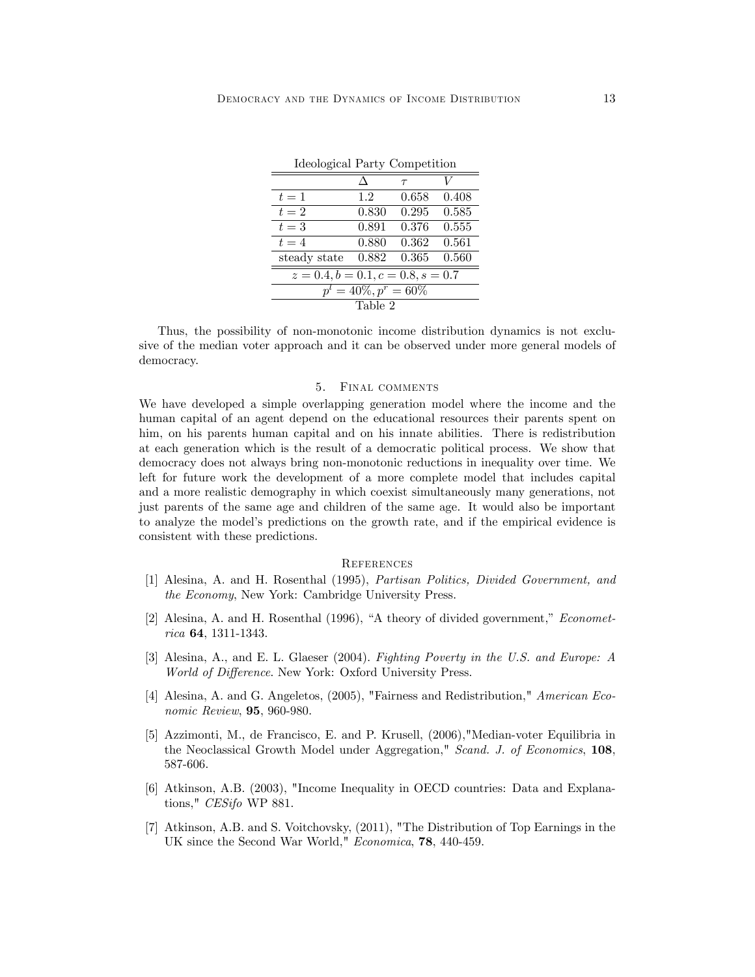Ideological Party Competition

| Tueological Party Competition        |       |        |       |  |
|--------------------------------------|-------|--------|-------|--|
|                                      | Л     | $\tau$ | V     |  |
| $t=1$                                | 1.2.  | 0.658  | 0.408 |  |
| $t=2$                                | 0.830 | 0.295  | 0.585 |  |
| $t=3$                                | 0.891 | 0.376  | 0.555 |  |
| $t=4$                                | 0.880 | 0.362  | 0.561 |  |
| steady state                         | 0.882 | 0.365  | 0.560 |  |
| $z = 0.4, b = 0.1, c = 0.8, s = 0.7$ |       |        |       |  |
| $p^l = 40\%, p^r = 60\%$             |       |        |       |  |
| Table 2                              |       |        |       |  |

Thus, the possibility of non-monotonic income distribution dynamics is not exclusive of the median voter approach and it can be observed under more general models of

democracy.

### 5. Final comments

We have developed a simple overlapping generation model where the income and the human capital of an agent depend on the educational resources their parents spent on him, on his parents human capital and on his innate abilities. There is redistribution at each generation which is the result of a democratic political process. We show that democracy does not always bring non-monotonic reductions in inequality over time. We left for future work the development of a more complete model that includes capital and a more realistic demography in which coexist simultaneously many generations, not just parents of the same age and children of the same age. It would also be important to analyze the modelís predictions on the growth rate, and if the empirical evidence is consistent with these predictions.

### **REFERENCES**

- [1] Alesina, A. and H. Rosenthal (1995), Partisan Politics, Divided Government, and the Economy, New York: Cambridge University Press.
- $[2]$  Alesina, A. and H. Rosenthal (1996), "A theory of divided government," *Economet*rica 64, 1311-1343.
- [3] Alesina, A., and E. L. Glaeser (2004). Fighting Poverty in the U.S. and Europe: A World of Difference. New York: Oxford University Press.
- [4] Alesina, A. and G. Angeletos, (2005), "Fairness and Redistribution," American Economic Review, 95, 960-980.
- [5] Azzimonti, M., de Francisco, E. and P. Krusell, (2006),"Median-voter Equilibria in the Neoclassical Growth Model under Aggregation," Scand. J. of Economics, 108, 587-606.
- [6] Atkinson, A.B. (2003), "Income Inequality in OECD countries: Data and Explanations," CESifo WP 881.
- [7] Atkinson, A.B. and S. Voitchovsky, (2011), "The Distribution of Top Earnings in the UK since the Second War World," Economica, 78, 440-459.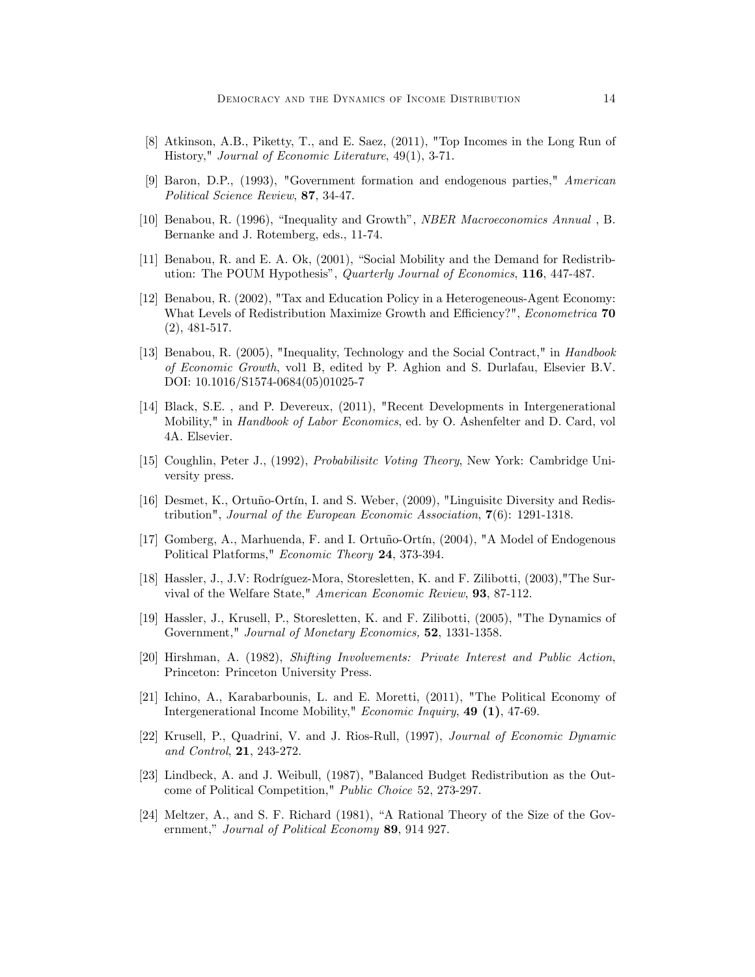- [8] Atkinson, A.B., Piketty, T., and E. Saez, (2011), "Top Incomes in the Long Run of History," Journal of Economic Literature, 49(1), 3-71.
- [9] Baron, D.P., (1993), "Government formation and endogenous parties," American Political Science Review, 87, 34-47.
- [10] Benabou, R. (1996), "Inequality and Growth", *NBER Macroeconomics Annual*, B. Bernanke and J. Rotemberg, eds., 11-74.
- [11] Benabou, R. and E. A. Ok,  $(2001)$ , "Social Mobility and the Demand for Redistribution: The POUM Hypothesis", Quarterly Journal of Economics, 116, 447-487.
- [12] Benabou, R. (2002), "Tax and Education Policy in a Heterogeneous-Agent Economy: What Levels of Redistribution Maximize Growth and Efficiency?", Econometrica 70 (2), 481-517.
- [13] Benabou, R. (2005), "Inequality, Technology and the Social Contract," in Handbook of Economic Growth, vol1 B, edited by P. Aghion and S. Durlafau, Elsevier B.V. DOI: 10.1016/S1574-0684(05)01025-7
- [14] Black, S.E. , and P. Devereux, (2011), "Recent Developments in Intergenerational Mobility," in *Handbook of Labor Economics*, ed. by O. Ashenfelter and D. Card, vol 4A. Elsevier.
- [15] Coughlin, Peter J., (1992), Probabilisitc Voting Theory, New York: Cambridge University press.
- [16] Desmet, K., Ortuño-Ortín, I. and S. Weber, (2009), "Linguisitc Diversity and Redistribution", Journal of the European Economic Association, 7(6): 1291-1318.
- [17] Gomberg, A., Marhuenda, F. and I. Ortuño-Ortín, (2004), "A Model of Endogenous Political Platforms," Economic Theory 24, 373-394.
- [18] Hassler, J., J.V: Rodríguez-Mora, Storesletten, K. and F. Zilibotti, (2003), The Survival of the Welfare State," American Economic Review, 93, 87-112.
- [19] Hassler, J., Krusell, P., Storesletten, K. and F. Zilibotti, (2005), "The Dynamics of Government," Journal of Monetary Economics, 52, 1331-1358.
- [20] Hirshman, A. (1982), Shifting Involvements: Private Interest and Public Action, Princeton: Princeton University Press.
- [21] Ichino, A., Karabarbounis, L. and E. Moretti, (2011), "The Political Economy of Intergenerational Income Mobility," Economic Inquiry, 49 (1), 47-69.
- [22] Krusell, P., Quadrini, V. and J. Rios-Rull, (1997), Journal of Economic Dynamic and Control, 21, 243-272.
- [23] Lindbeck, A. and J. Weibull, (1987), "Balanced Budget Redistribution as the Outcome of Political Competition," Public Choice 52, 273-297.
- $[24]$  Meltzer, A., and S. F. Richard  $(1981)$ , "A Rational Theory of the Size of the Government," Journal of Political Economy 89, 914 927.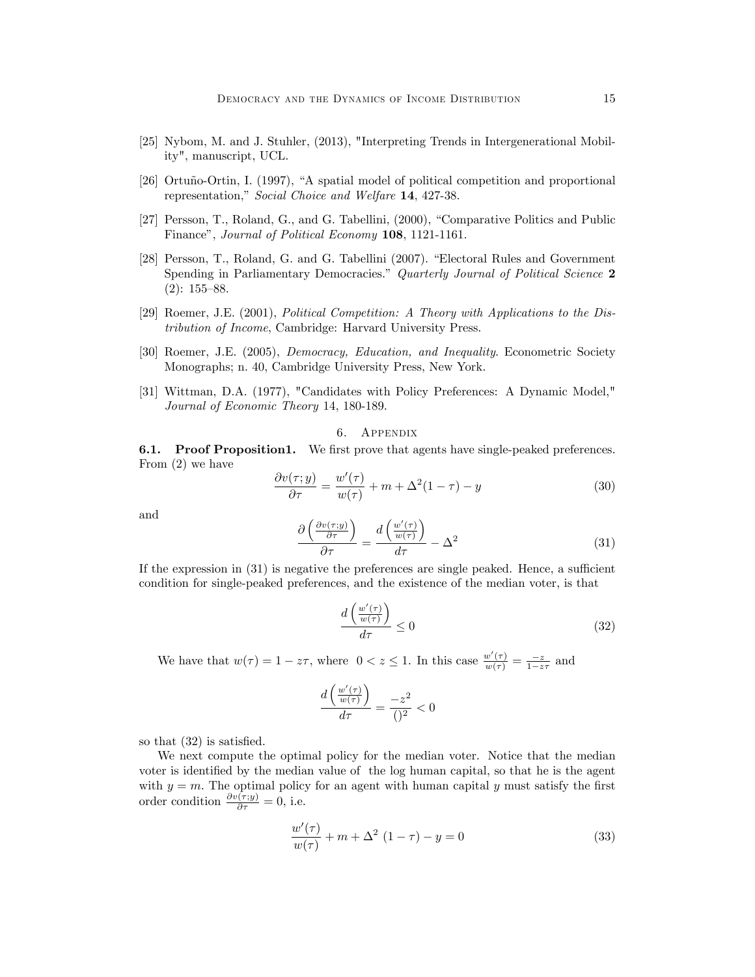- [25] Nybom, M. and J. Stuhler, (2013), "Interpreting Trends in Intergenerational Mobility", manuscript, UCL.
- [26] Ortuño-Ortin, I. (1997), "A spatial model of political competition and proportional representation," Social Choice and Welfare 14, 427-38.
- [27] Persson, T., Roland, G., and G. Tabellini, (2000), "Comparative Politics and Public Finance", Journal of Political Economy 108, 1121-1161.
- [28] Persson, T., Roland, G. and G. Tabellini (2007). "Electoral Rules and Government Spending in Parliamentary Democracies." Quarterly Journal of Political Science 2  $(2): 155 - 88.$
- [29] Roemer, J.E. (2001), Political Competition: A Theory with Applications to the Distribution of Income, Cambridge: Harvard University Press.
- [30] Roemer, J.E. (2005), Democracy, Education, and Inequality. Econometric Society Monographs; n. 40, Cambridge University Press, New York.
- [31] Wittman, D.A. (1977), "Candidates with Policy Preferences: A Dynamic Model," Journal of Economic Theory 14, 180-189.

6. Appendix

**6.1.** Proof Proposition1. We first prove that agents have single-peaked preferences. From (2) we have

$$
\frac{\partial v(\tau; y)}{\partial \tau} = \frac{w'(\tau)}{w(\tau)} + m + \Delta^2 (1 - \tau) - y \tag{30}
$$

and

$$
\frac{\partial \left(\frac{\partial v(\tau;y)}{\partial \tau}\right)}{\partial \tau} = \frac{d \left(\frac{w'(\tau)}{w(\tau)}\right)}{d\tau} - \Delta^2 \tag{31}
$$

If the expression in  $(31)$  is negative the preferences are single peaked. Hence, a sufficient condition for single-peaked preferences, and the existence of the median voter, is that

$$
\frac{d\left(\frac{w'(\tau)}{w(\tau)}\right)}{d\tau} \le 0\tag{32}
$$

We have that  $w(\tau) = 1 - z\tau$ , where  $0 < z \leq 1$ . In this case  $\frac{w'(\tau)}{w(\tau)} = \frac{-z}{1 - z\tau}$  and

$$
\frac{d\left(\frac{w'(\tau)}{w(\tau)}\right)}{d\tau} = \frac{-z^2}{()^2} < 0
$$

so that  $(32)$  is satisfied.

We next compute the optimal policy for the median voter. Notice that the median voter is identified by the median value of the log human capital, so that he is the agent with  $y = m$ . The optimal policy for an agent with human capital y must satisfy the first order condition  $\frac{\partial v(\tau;y)}{\partial \tau} = 0$ , i.e.

$$
\frac{w'(\tau)}{w(\tau)} + m + \Delta^2 (1 - \tau) - y = 0
$$
\n(33)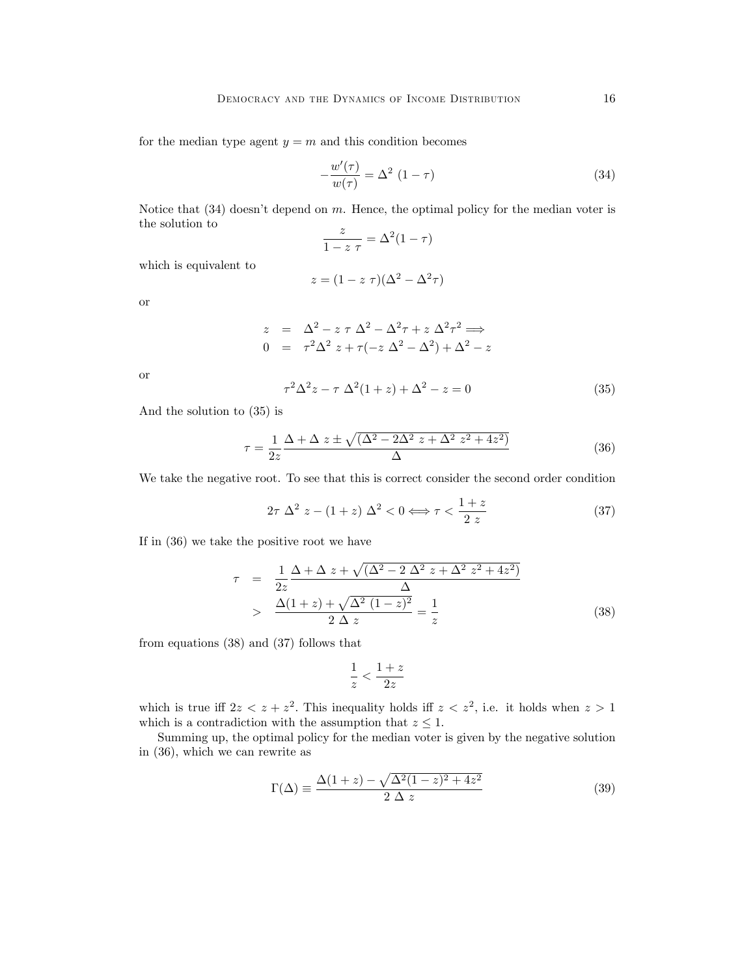for the median type agent  $y = m$  and this condition becomes

$$
-\frac{w'(\tau)}{w(\tau)} = \Delta^2 (1 - \tau) \tag{34}
$$

Notice that  $(34)$  doesn't depend on m. Hence, the optimal policy for the median voter is the solution to

$$
\frac{z}{1-z \tau} = \Delta^2 (1-\tau)
$$

which is equivalent to

$$
z = (1 - z \tau)(\Delta^2 - \Delta^2 \tau)
$$

or

$$
z = \Delta^2 - z \tau \Delta^2 - \Delta^2 \tau + z \Delta^2 \tau^2 \implies
$$
  
\n
$$
0 = \tau^2 \Delta^2 z + \tau(-z \Delta^2 - \Delta^2) + \Delta^2 - z
$$

or

$$
\tau^2 \Delta^2 z - \tau \Delta^2 (1+z) + \Delta^2 - z = 0 \tag{35}
$$

And the solution to (35) is

$$
\tau = \frac{1}{2z} \frac{\Delta + \Delta z \pm \sqrt{(\Delta^2 - 2\Delta^2 z + \Delta^2 z^2 + 4z^2)}}{\Delta}
$$
(36)

We take the negative root. To see that this is correct consider the second order condition

$$
2\tau \Delta^2 z - (1+z) \Delta^2 < 0 \Longleftrightarrow \tau < \frac{1+z}{2z}
$$
 (37)

If in (36) we take the positive root we have

$$
\tau = \frac{1}{2z} \frac{\Delta + \Delta z + \sqrt{(\Delta^2 - 2 \Delta^2 z + \Delta^2 z^2 + 4z^2)}}{\Delta}
$$
  
> 
$$
\frac{\Delta(1+z) + \sqrt{\Delta^2 (1-z)^2}}{2 \Delta z} = \frac{1}{z}
$$
 (38)

from equations (38) and (37) follows that

$$
\frac{1}{z}<\frac{1+z}{2z}
$$

which is true iff  $2z < z + z^2$ . This inequality holds iff  $z < z^2$ , i.e. it holds when  $z > 1$ which is a contradiction with the assumption that  $z \leq 1$ .

Summing up, the optimal policy for the median voter is given by the negative solution in (36), which we can rewrite as

$$
\Gamma(\Delta) \equiv \frac{\Delta(1+z) - \sqrt{\Delta^2(1-z)^2 + 4z^2}}{2\Delta z}
$$
\n(39)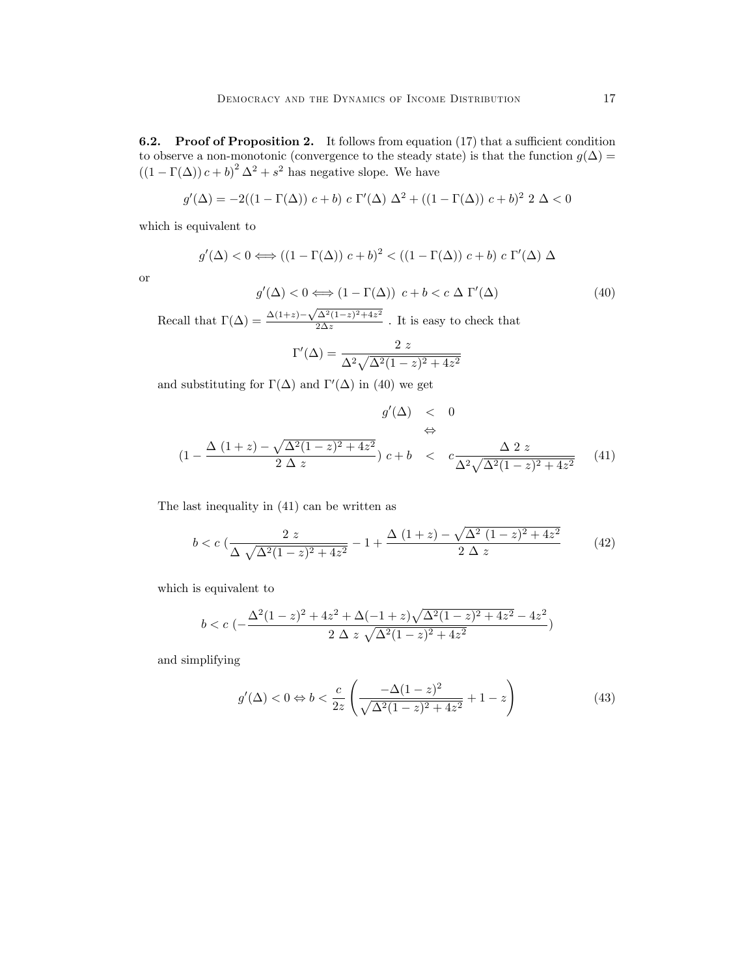**6.2.** Proof of Proposition 2. It follows from equation  $(17)$  that a sufficient condition to observe a non-monotonic (convergence to the steady state) is that the function  $g(\Delta)$  =  $((1 - \Gamma(\Delta)) c + b)^2 \Delta^2 + s^2$  has negative slope. We have

$$
g'(\Delta) = -2((1 - \Gamma(\Delta)) c + b) c \Gamma'(\Delta) \Delta^2 + ((1 - \Gamma(\Delta)) c + b)^2 2 \Delta < 0
$$

which is equivalent to

$$
g'(\Delta) < 0 \Longleftrightarrow ((1 - \Gamma(\Delta)) c + b)^2 < ((1 - \Gamma(\Delta)) c + b) c \Gamma'(\Delta) \Delta
$$

or

$$
g'(\Delta) < 0 \Longleftrightarrow (1 - \Gamma(\Delta)) \ c + b < c \ \Delta \ \Gamma'(\Delta) \tag{40}
$$

Recall that  $\Gamma(\Delta) = \frac{\Delta(1+z) - \sqrt{\Delta^2(1-z)^2 + 4z^2}}{2\Delta z}$  $\frac{\Delta (1-z) + 4z}{2\Delta z}$ . It is easy to check that

$$
\Gamma'(\Delta) = \frac{2 z}{\Delta^2 \sqrt{\Delta^2 (1 - z)^2 + 4z^2}}
$$

and substituting for  $\Gamma(\Delta)$  and  $\Gamma'(\Delta)$  in (40) we get

$$
g'(\Delta) < 0
$$
  
\n
$$
\Leftrightarrow
$$
  
\n
$$
(1 - \frac{\Delta (1+z) - \sqrt{\Delta^2 (1-z)^2 + 4z^2}}{2 \Delta z}) c + b < c \frac{\Delta 2 z}{\Delta^2 \sqrt{\Delta^2 (1-z)^2 + 4z^2}}
$$
 (41)

The last inequality in (41) can be written as

$$
b < c \left( \frac{2 z}{\Delta \sqrt{\Delta^2 (1 - z)^2 + 4z^2}} - 1 + \frac{\Delta (1 + z) - \sqrt{\Delta^2 (1 - z)^2 + 4z^2}}{2 \Delta z} \right) \tag{42}
$$

which is equivalent to

$$
b < c \; ( - \frac{\Delta^2 (1-z)^2 + 4z^2 + \Delta(-1+z) \sqrt{\Delta^2 (1-z)^2 + 4z^2} - 4z^2}{2 \; \Delta \; z \; \sqrt{\Delta^2 (1-z)^2 + 4z^2}})
$$

and simplifying

$$
g'(\Delta) < 0 \Leftrightarrow b < \frac{c}{2z} \left( \frac{-\Delta (1-z)^2}{\sqrt{\Delta^2 (1-z)^2 + 4z^2}} + 1 - z \right) \tag{43}
$$